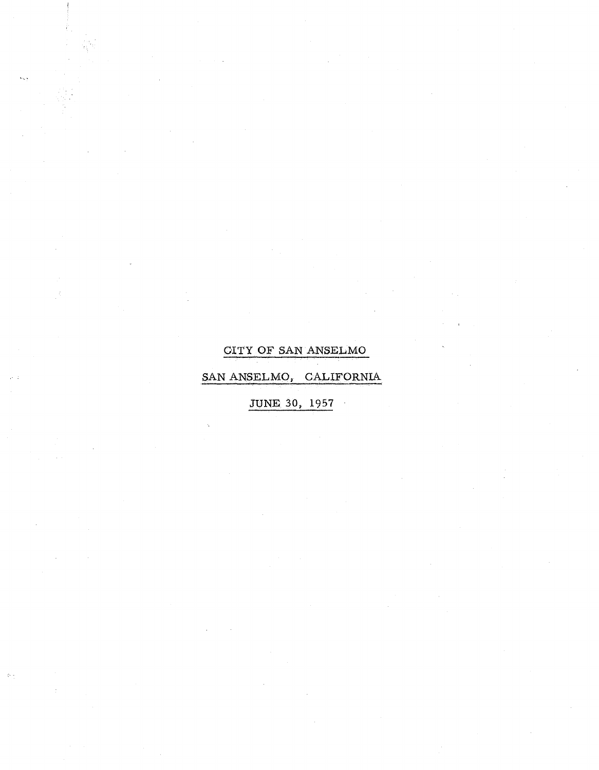## **CITY OF SAN ANSELMO**

SAN ANSELMO, CALIFORNIA

을

 $\frac{1}{2} \hat{r}$  .

**JUNE** 30, 1957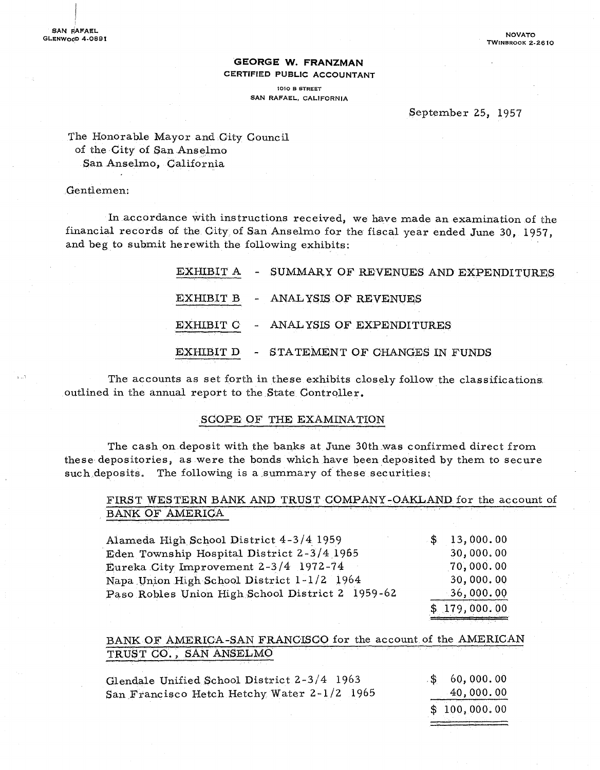#### **GEORGE W. FRANZMAN**  CERTIFIED PUBLIC ACCOUNTANT

1010 B STREET SAN RAFAEL. CALIFORNIA

#### September 25, 1957

#### The Honorable Mayor and City Council of the City of San Anselmo. San Anselmo, California

#### Gentlemen:

In accordance with instructions received, we have made an examination of the financial records of the City of San Anselmo for the fiscal year ended June 30, 1957, and beg to submit herewith the following exhibits:

|                  | EXHIBIT A - SUMMARY OF REVENUES AND EXPENDITURES |
|------------------|--------------------------------------------------|
|                  | EXHIBIT B - ANALYSIS OF REVENUES                 |
| ________________ | EXHIBIT C - ANALYSIS OF EXPENDITURES             |
|                  | EXHIBIT D - STATEMENT OF CHANGES IN FUNDS        |

The accounts as set forth in these exhibits closely follow the classifications. outlined in the annual report to the State Controller.

#### SCOPE OF THE EXAMINATION

The cash on deposit with the banks at June 30th was confirmed direct from these depositories, as were the bonds which have been deposited by them to secure such deposits. The following is a summary of these securities:

#### FIRST WESTERN BANK AND TRUST COMPANY-OAKLAND for the account of BANK OF AMERICA

| Alameda High School District 4-3/4 1959          | \$13,000.00  |
|--------------------------------------------------|--------------|
| Eden Township Hospital District 2-3/4 1965       | 30,000.00    |
| Eureka City Improvement 2-3/4 1972-74            | 70,000.00    |
| Napa Union High School District 1-1/2 1964       | 30,000.00    |
| Paso Robles Union High School District 2 1959-62 | $-36,000.00$ |
|                                                  | \$179,000.00 |

#### BANK OF AMERICA-SAN FRANCISCO for the account of the AMERICAN TRUST CO., SAN ANSELMO

| Glendale Unified School District 2-3/4 1963 | \$60,000.00  |
|---------------------------------------------|--------------|
| San Francisco Hetch Hetchy Water 2-1/2 1965 | $-40,000.00$ |
|                                             | \$100,000.00 |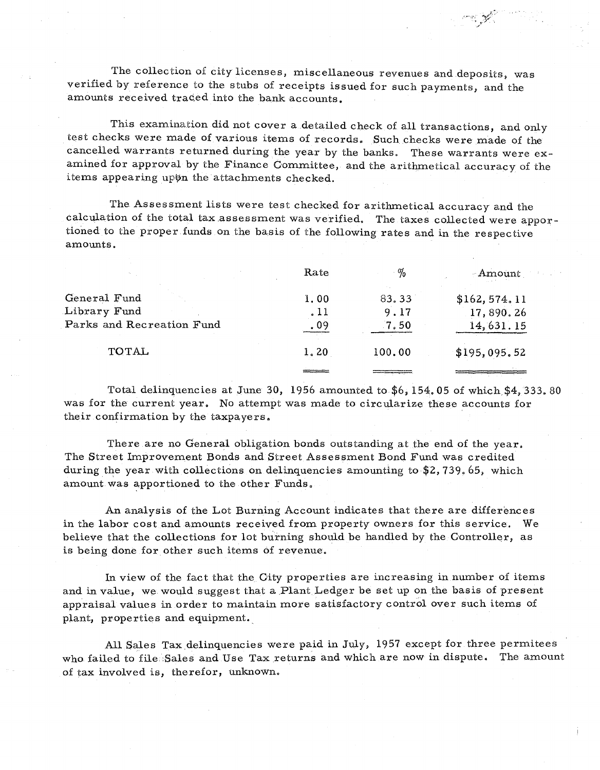The collection of city licenses, miscellaneous revenues and deposits, was verified by reference to the stubs of receipts issued for such payments, and the amounts received traced into the bank accounts.

This examination did not cover a detailed check of all transactions, and only test checks were made of various items of records. Such checks were made of the cancelled warrants returned during the year by the banks. These warrants were examined for approval by the Finance Committee, and the arithmetical accuracy of the items appearing upon the attachments checked.

The Assessment lists were test checked for arithmetical accuracy and the calculation of the total tax assessment was verified. The taxes collected were apportioned to the proper funds on the basis of the following rates and in the respective amounts.

|                           | Rate | $\%$   | Amount        |
|---------------------------|------|--------|---------------|
| General Fund              | 1.00 | 83.33  | \$162, 574.11 |
| Library Fund              | .11  | 9.17   | 17,890.26     |
| Parks and Recreation Fund | .09  | .7.50  | 14,631.15     |
| <b>TOTAL</b>              | 1.20 | 100.00 | \$195,095.52  |
|                           |      |        |               |
|                           |      |        |               |

Total delinquencies at June 30, 1956 amounted to  $$6, 154, 05$  of which  $$4, 333. 80$ was for the current year. No attempt was made to circularize these accounts for their confirmation by the taxpayers.

There are no General obligation bonds outstanding at the end of the year. The Street Improvement Bonds and Street Assessment Bond Fund was credited during the year with collections on delinquencies amounting to  $$2, 739.65$ , which amount was apportioned to the other Funds.

An analysis of the Lot Burning Account indicates that there are differences in the labor cost and amounts received from property owners for this service. We believe that the collections for lot burning should be handled by the Controller, as is being done for other such items of revenue.

In view of the fact that the City properties are increasing in number of items and in value, we would suggest that a Plant Ledger be set up on the basis of present appraisal values in order to maintain more satisfactory control over such items of plant, properties and equipment.

All Sales Tax delinquencies were paid in July, 1957 except for three permitees who failed to file :Sales and Use Tax returns and which are now in dispute. The amount of tax involved is, therefor, unknown.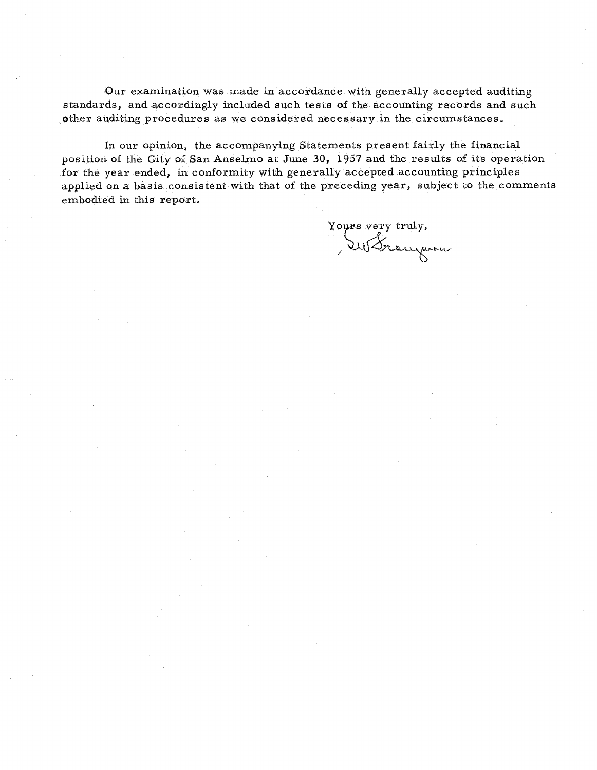Our examination was made in accordance with generally accepted auditing standards, and accordingly included such tests of the accounting records and such other auditing procedures as we considered necessary in the circumstances.

In our opinion, the accompanying Statements present fairly the financial position of the Gity of San Anselmo at June 30, 1957 and the results of its operation for the year ended, in conformity with generally accepted accounting principles applied on a basis consistent with that of the preceding year, subject to the comments embodied in this report.

Yours very truly,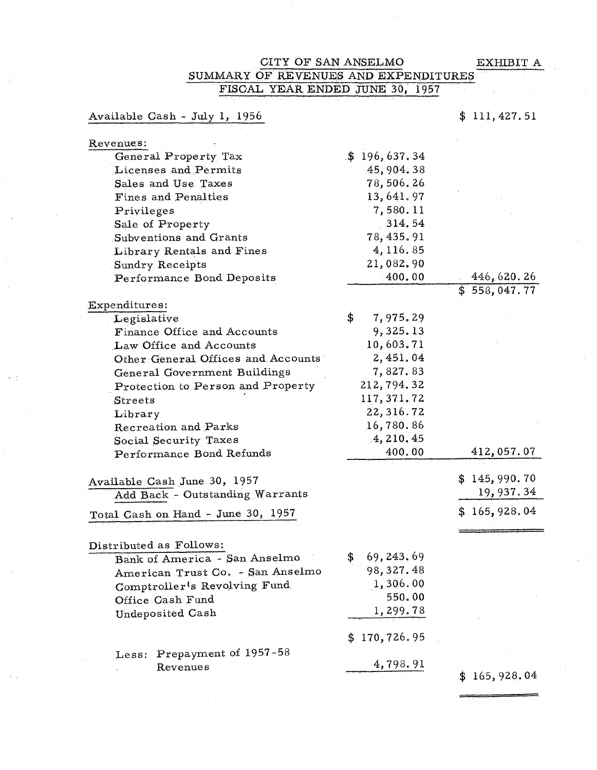=

#### OITY OF SAN ANSELMO EXHIBIT A SUMMARY OF REVENUES AND EXPENDITURES FISCAL YEAR ENDED JUNE 30, 1957

Available Gash - July 1, 1956

\$ 111,427.51

| Revenues:                          |                    |                    |
|------------------------------------|--------------------|--------------------|
| General Property Tax               | \$196,637.34       |                    |
| Licenses and Permits               | 45,904.38          |                    |
| Sales and Use Taxes                | 78,506.26          |                    |
| Fines and Penalties                | 13,641.97          |                    |
| Privileges                         | 7,580.11           |                    |
| Sale of Property                   | 314.54             |                    |
| Subventions and Grants             | 78, 435.91         |                    |
| Library Rentals and Fines          | 4, 116.85          |                    |
| Sundry Receipts                    | 21,082.90          |                    |
| Performance Bond Deposits          | 400.00             | 446,620.26         |
|                                    |                    | \$553,047.77       |
| Expenditures:                      |                    |                    |
| Legislative                        | \$<br>7,975.29     |                    |
| Finance Office and Accounts        | 9,325.13           |                    |
| Law Office and Accounts            | 10,603.71          |                    |
| Other General Offices and Accounts | 2,451.04           |                    |
| General Government Buildings       | 7,827.83           |                    |
| Protection to Person and Property  | 212, 794. 32       |                    |
| Streets                            | 117, 371.72        |                    |
| Library                            | 22, 316.72         |                    |
| Recreation and Parks               | 16,780.86          |                    |
| Social Security Taxes              | 4, 210.45          |                    |
| Performance Bond Refunds           | 400.00             | 412,057.07         |
|                                    |                    | \$145,990.70       |
| Available Cash June 30, 1957       |                    | 19, 937.34         |
| Add Back - Outstanding Warrants    |                    |                    |
| Total Cash on Hand - June 30, 1957 |                    | \$165,928.04       |
|                                    |                    |                    |
| Distributed as Follows:            |                    |                    |
| Bank of America - San Anselmo      | 69, 243, 69<br>\$. |                    |
| American Trust Co. - San Anselmo   | 98,327.48          |                    |
| Comptroller's Revolving Fund       | 1,306.00           |                    |
| Office Cash Fund                   | 550.00             |                    |
| Undeposited Cash                   | 1,299.78           |                    |
|                                    | 170,726.95<br>\$   |                    |
| Prepayment of 1957-58<br>Less:     |                    |                    |
| Revenues                           | 4,798.91           |                    |
|                                    |                    | 165, 928.04<br>\$. |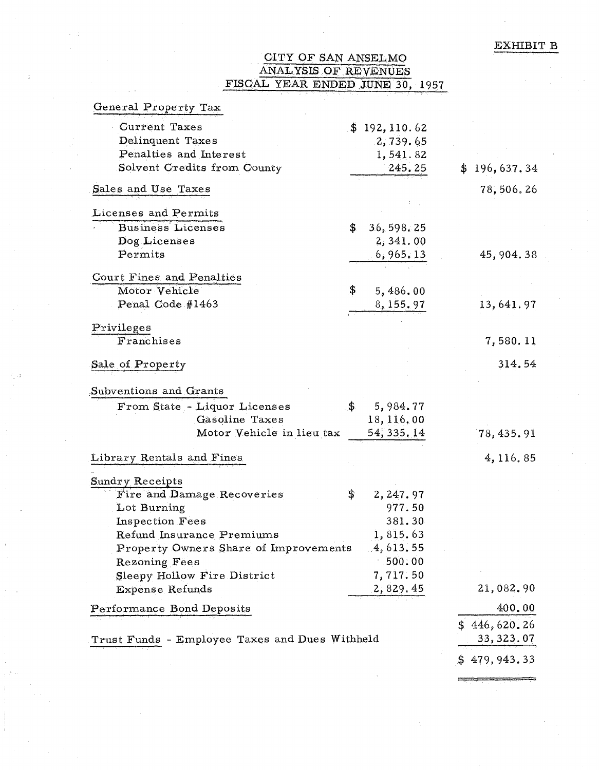# CITY OF SAN ANSELMO<br>ANALYSIS OF REVENUES<br>FISCAL YEAR ENDED JUNE 30, 1957

| General Property Tax                           |                  |               |
|------------------------------------------------|------------------|---------------|
| <b>Current Taxes</b>                           | \$192,110.62     |               |
| Delinquent Taxes                               | 2,739.65         |               |
| Penalties and Interest                         | 1,541.82         |               |
| Solvent Credits from County                    | 245.25           | \$196,637.34  |
| Sales and Use Taxes                            |                  | 78,506.26     |
| Licenses and Permits                           |                  |               |
| <b>Business Licenses</b>                       | \$<br>36, 598.25 |               |
| Dog Licenses                                   | 2,341.00         |               |
| Permits                                        | 6,965,13         | 45, 904. 38   |
| Court Fines and Penalties                      |                  |               |
| Motor Vehicle                                  | \$<br>5,486.00   |               |
| Penal Code #1463                               | 8, 155. 97       | 13,641.97     |
| Privileges                                     |                  |               |
| Franchises                                     |                  | 7,580.11      |
| Sale of Property                               |                  | 314.54        |
|                                                |                  |               |
| Subventions and Grants                         |                  |               |
| From State - Liquor Licenses                   | \$<br>5,984.77   |               |
| Gasoline Taxes                                 | 18, 116, 00      |               |
| Motor Vehicle in lieu tax                      | 54, 335. 14      | [78, 435, 91] |
| Library Rentals and Fines                      |                  | 4, 116.85     |
| Sundry Receipts                                |                  |               |
| Fire and Damage Recoveries                     | \$<br>2, 247.97  |               |
| Lot Burning                                    | 977.50           |               |
| Inspection Fees                                | 381.30           |               |
| Refund Insurance Premiums                      | 1,815.63         |               |
| Property Owners Share of Improvements          | .4,613,55        |               |
| Rezoning Fees                                  | .500.00          |               |
| Sleepy Hollow Fire District                    | 7,717.50         |               |
| Expense Refunds                                | <u>2,829.45</u>  | 21,082.90     |
| Performance Bond Deposits                      |                  | 400.00        |
|                                                |                  | \$446,620.26  |
| Trust Funds - Employee Taxes and Dues Withheld |                  | 33, 323.07    |
|                                                |                  | 479, 943. 33  |
|                                                |                  |               |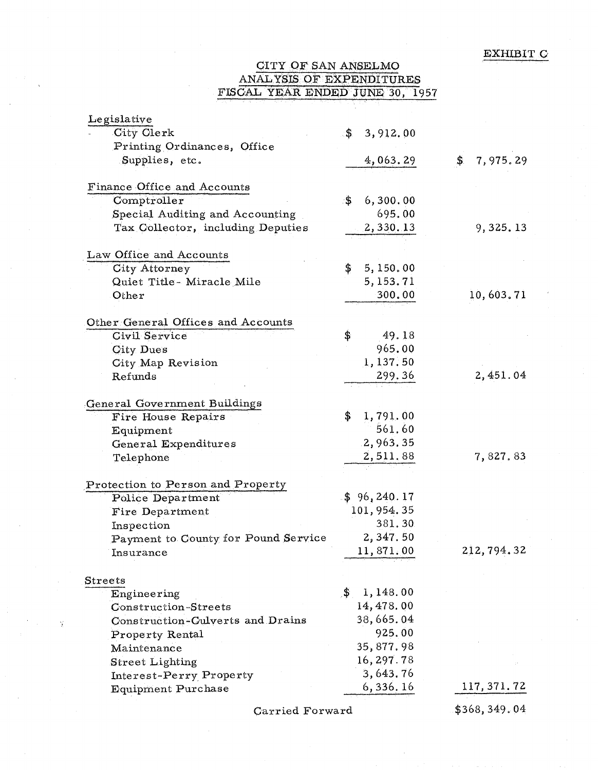## CITY OF SAN ANSELMO ANALYSIS OF EXPENDITURES FISCAL YEAR ENDED JUNE 30, 1957

| ${\rm L}$ egislative                |                          |                 |
|-------------------------------------|--------------------------|-----------------|
| City Clerk                          | 3,912.00<br>.\$∶         |                 |
| Printing Ordinances, Office         |                          |                 |
| Supplies, etc.                      | 4,063.29                 | 7,975.29<br>\$. |
|                                     |                          |                 |
| Finance Office and Accounts         |                          |                 |
| Computeroller                       | $\cdot$ \$<br>6, 300, 00 |                 |
| Special Auditing and Accounting     | 695.00                   |                 |
| Tax Collector, including Deputies   | 2,330.13                 | 9,325.13        |
|                                     |                          |                 |
| Law Office and Accounts             |                          |                 |
| <b>City Attorney</b>                | 5,150.00<br>\$           |                 |
| Quiet Title-Miracle Mile            | 5,153.71                 |                 |
| Other                               | 300.00                   | 10,603.71       |
|                                     |                          |                 |
| Other General Offices and Accounts  |                          |                 |
| <b>Civil Service</b>                | 49.18<br>\$              |                 |
| City Dues                           | 965.00                   |                 |
| City Map Revision                   | 1,137.50                 |                 |
| Refunds                             | 299.36                   | 2,451.04        |
|                                     |                          |                 |
| General Government Buildings        |                          |                 |
| Fire House Repairs                  | 1,791.00<br>\$           |                 |
| Equipment                           | 561.60                   |                 |
| General Expenditures                | 2,963,35                 |                 |
| Telephone                           | 2,511.88                 | 7,827.83        |
|                                     |                          |                 |
| Protection to Person and Property   |                          |                 |
| <b>Police Department</b>            | \$96, 240.17             |                 |
| Fire Department                     | 101, 954.35              |                 |
| Inspection                          | 381.30                   |                 |
| Payment to County for Pound Service | 2,347.50                 |                 |
| Insurance                           | 11,871.00                | 212, 794.32     |
|                                     |                          |                 |
| Streets                             |                          |                 |
| Engineering                         | 1,148.00<br>$\cdot$ \$   |                 |
| Construction-Streets                | 14, 478.00               |                 |
| Construction-Culverts and Drains    | 38,665.04                |                 |
| Property Rental                     | 925.00                   |                 |
| Maintenance                         | 35,877.98                |                 |
|                                     | 16, 297.78               |                 |
| <b>Street Lighting</b>              | 3,643.76                 |                 |
| Interest-Perry Property             | 6,336.16                 | 117, 371. 72    |
| <b>Equipment Purchase</b>           |                          |                 |
|                                     |                          |                 |

Carried Forward

 $\widetilde{\mathcal{X}}$ 

\$368,349.04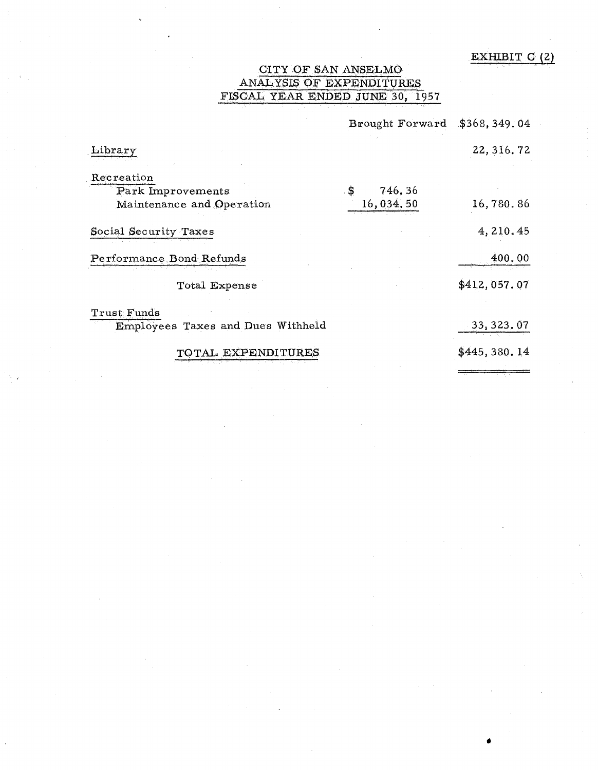#### EXHIBIT  $C(2)$

•

## CITY OF SAN ANSELMO ANALYSIS OF EXPENDITURES FISCAL YEAR ENDED JUNE 30, 1957

|                                   | Brought Forward | \$368, 349.04 |
|-----------------------------------|-----------------|---------------|
| Library                           |                 | 22, 316. 72   |
| Recreation                        |                 |               |
| Park Improvements                 | \$<br>746.36    |               |
| Maintenance and Operation         | 16,034.50       | 16,780.86     |
| Social Security Taxes             |                 | 4, 210.45     |
| Performance Bond Refunds          |                 | 400.00        |
| Total Expense                     |                 | \$412,057.07  |
| Trust Funds                       |                 |               |
| Employees Taxes and Dues Withheld |                 | 33, 323, 07   |
| TOTAL EXPENDITURES                |                 | \$445,380.14  |
|                                   |                 |               |